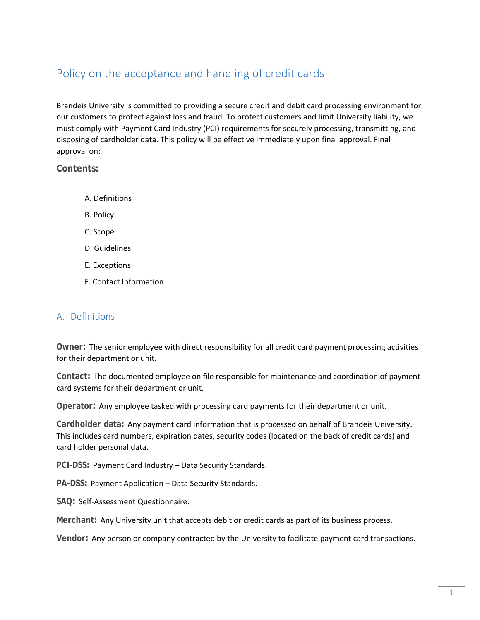# Policy on the acceptance and handling of credit cards

Brandeis University is committed to providing a secure credit and debit card processing environment for our customers to protect against loss and fraud. To protect customers and limit University liability, we must comply with Payment Card Industry (PCI) requirements for securely processing, transmitting, and disposing of cardholder data. This policy will be effective immediately upon final approval. Final approval on:

**Contents:** 

- A. Definitions
- B. Policy
- C. Scope
- D. Guidelines
- E. Exceptions
- F. Contact Information

## A. Definitions

**Owner:** The senior employee with direct responsibility for all credit card payment processing activities for their department or unit.

**Contact:** The documented employee on file responsible for maintenance and coordination of payment card systems for their department or unit.

**Operator:** Any employee tasked with processing card payments for their department or unit.

**Cardholder data:** Any payment card information that is processed on behalf of Brandeis University. This includes card numbers, expiration dates, security codes (located on the back of credit cards) and card holder personal data.

**PCI-DSS:** Payment Card Industry – Data Security Standards.

**PA-DSS:** Payment Application – Data Security Standards.

**SAQ:** Self‐Assessment Questionnaire.

**Merchant:** Any University unit that accepts debit or credit cards as part of its business process.

**Vendor:** Any person or company contracted by the University to facilitate payment card transactions.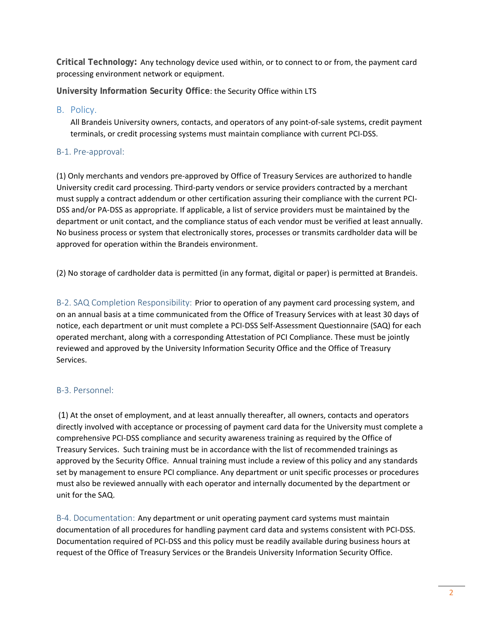**Critical Technology:** Any technology device used within, or to connect to or from, the payment card processing environment network or equipment.

**University Information Security Office**: the Security Office within LTS

#### B. Policy.

All Brandeis University owners, contacts, and operators of any point‐of‐sale systems, credit payment terminals, or credit processing systems must maintain compliance with current PCI‐DSS.

### B‐1. Pre‐approval:

(1) Only merchants and vendors pre‐approved by Office of Treasury Services are authorized to handle University credit card processing. Third‐party vendors or service providers contracted by a merchant must supply a contract addendum or other certification assuring their compliance with the current PCI‐ DSS and/or PA‐DSS as appropriate. If applicable, a list of service providers must be maintained by the department or unit contact, and the compliance status of each vendor must be verified at least annually. No business process or system that electronically stores, processes or transmits cardholder data will be approved for operation within the Brandeis environment.

(2) No storage of cardholder data is permitted (in any format, digital or paper) is permitted at Brandeis.

B-2. SAQ Completion Responsibility: Prior to operation of any payment card processing system, and on an annual basis at a time communicated from the Office of Treasury Services with at least 30 days of notice, each department or unit must complete a PCI‐DSS Self‐Assessment Questionnaire (SAQ) for each operated merchant, along with a corresponding Attestation of PCI Compliance. These must be jointly reviewed and approved by the University Information Security Office and the Office of Treasury Services.

## B‐3. Personnel:

(1) At the onset of employment, and at least annually thereafter, all owners, contacts and operators directly involved with acceptance or processing of payment card data for the University must complete a comprehensive PCI‐DSS compliance and security awareness training as required by the Office of Treasury Services. Such training must be in accordance with the list of recommended trainings as approved by the Security Office. Annual training must include a review of this policy and any standards set by management to ensure PCI compliance. Any department or unit specific processes or procedures must also be reviewed annually with each operator and internally documented by the department or unit for the SAQ.

B-4. Documentation: Any department or unit operating payment card systems must maintain documentation of all procedures for handling payment card data and systems consistent with PCI‐DSS. Documentation required of PCI‐DSS and this policy must be readily available during business hours at request of the Office of Treasury Services or the Brandeis University Information Security Office.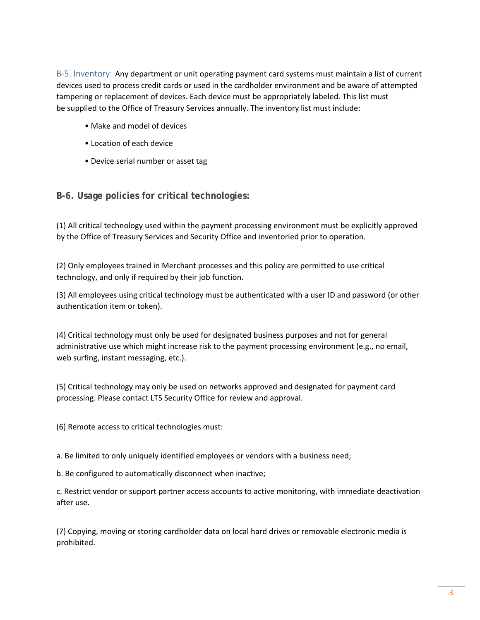B-5. Inventory: Any department or unit operating payment card systems must maintain a list of current devices used to process credit cards or used in the cardholder environment and be aware of attempted tampering or replacement of devices. Each device must be appropriately labeled. This list must be supplied to the Office of Treasury Services annually. The inventory list must include:

- Make and model of devices
- Location of each device
- Device serial number or asset tag

**B-6. Usage policies for critical technologies:**

(1) All critical technology used within the payment processing environment must be explicitly approved by the Office of Treasury Services and Security Office and inventoried prior to operation.

(2) Only employees trained in Merchant processes and this policy are permitted to use critical technology, and only if required by their job function.

(3) All employees using critical technology must be authenticated with a user ID and password (or other authentication item or token).

(4) Critical technology must only be used for designated business purposes and not for general administrative use which might increase risk to the payment processing environment (e.g., no email, web surfing, instant messaging, etc.).

(5) Critical technology may only be used on networks approved and designated for payment card processing. Please contact LTS Security Office for review and approval.

(6) Remote access to critical technologies must:

a. Be limited to only uniquely identified employees or vendors with a business need;

b. Be configured to automatically disconnect when inactive;

c. Restrict vendor or support partner access accounts to active monitoring, with immediate deactivation after use.

(7) Copying, moving or storing cardholder data on local hard drives or removable electronic media is prohibited.